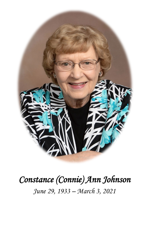

## *Constance (Connie) Ann Johnson*

*June 29, 1933 – March 3, 2021*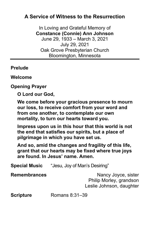## **A Service of Witness to the Resurrection**

In Loving and Grateful Memory of **Constance (Connie) Ann Johnson** June 29, 1933 – March 3, 2021 July 29, 2021 Oak Grove Presbyterian Church Bloomington, Minnesota

**Prelude**

**Welcome**

**Opening Prayer**

**O Lord our God,**

**We come before your gracious presence to mourn our loss, to receive comfort from your word and from one another, to contemplate our own mortality, to turn our hearts toward you.**

**Impress upon us in this hour that this world is not the end that satisfies our spirits, but a place of pilgrimage in which you have set us.**

**And so, amid the changes and fragility of this life, grant that our hearts may be fixed where true joys are found. In Jesus' name. Amen.**

**Special Music** "Jesu, Joy of Man's Desiring"

**Remembrances** Nancy Joyce, sister Philip Morley, grandson Leslie Johnson, daughter

**Scripture** Romans 8:31-39